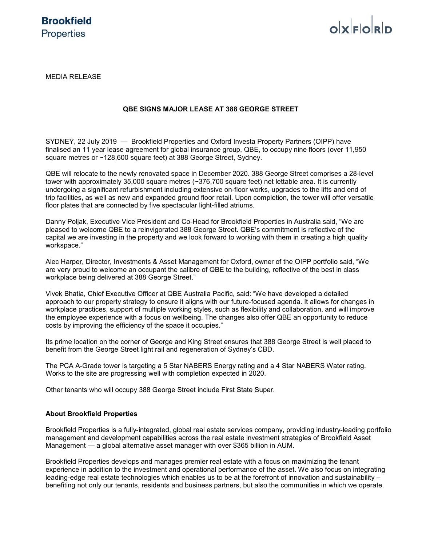# $o$ <sub>k</sub> $F$  $o$ <sub>k</sub> $D$

MEDIA RELEASE

# **QBE SIGNS MAJOR LEASE AT 388 GEORGE STREET**

SYDNEY, 22 July 2019 — Brookfield Properties and Oxford Investa Property Partners (OIPP) have finalised an 11 year lease agreement for global insurance group, QBE, to occupy nine floors (over 11,950 square metres or ~128,600 square feet) at 388 George Street, Sydney.

QBE will relocate to the newly renovated space in December 2020. 388 George Street comprises a 28-level tower with approximately 35,000 square metres (~376,700 square feet) net lettable area. It is currently undergoing a significant refurbishment including extensive on-floor works, upgrades to the lifts and end of trip facilities, as well as new and expanded ground floor retail. Upon completion, the tower will offer versatile floor plates that are connected by five spectacular light-filled atriums.

Danny Poljak, Executive Vice President and Co-Head for Brookfield Properties in Australia said, "We are pleased to welcome QBE to a reinvigorated 388 George Street. QBE's commitment is reflective of the capital we are investing in the property and we look forward to working with them in creating a high quality workspace."

Alec Harper, Director, Investments & Asset Management for Oxford, owner of the OIPP portfolio said, "We are very proud to welcome an occupant the calibre of QBE to the building, reflective of the best in class workplace being delivered at 388 George Street."

Vivek Bhatia, Chief Executive Officer at QBE Australia Pacific, said: "We have developed a detailed approach to our property strategy to ensure it aligns with our future-focused agenda. It allows for changes in workplace practices, support of multiple working styles, such as flexibility and collaboration, and will improve the employee experience with a focus on wellbeing. The changes also offer QBE an opportunity to reduce costs by improving the efficiency of the space it occupies."

Its prime location on the corner of George and King Street ensures that 388 George Street is well placed to benefit from the George Street light rail and regeneration of Sydney's CBD.

The PCA A-Grade tower is targeting a 5 Star NABERS Energy rating and a 4 Star NABERS Water rating. Works to the site are progressing well with completion expected in 2020.

Other tenants who will occupy 388 George Street include First State Super.

# **About Brookfield Properties**

Brookfield Properties is a fully-integrated, global real estate services company, providing industry-leading portfolio management and development capabilities across the real estate investment strategies of Brookfield Asset Management — a global alternative asset manager with over \$365 billion in AUM.

Brookfield Properties develops and manages premier real estate with a focus on maximizing the tenant experience in addition to the investment and operational performance of the asset. We also focus on integrating leading-edge real estate technologies which enables us to be at the forefront of innovation and sustainability – benefiting not only our tenants, residents and business partners, but also the communities in which we operate.